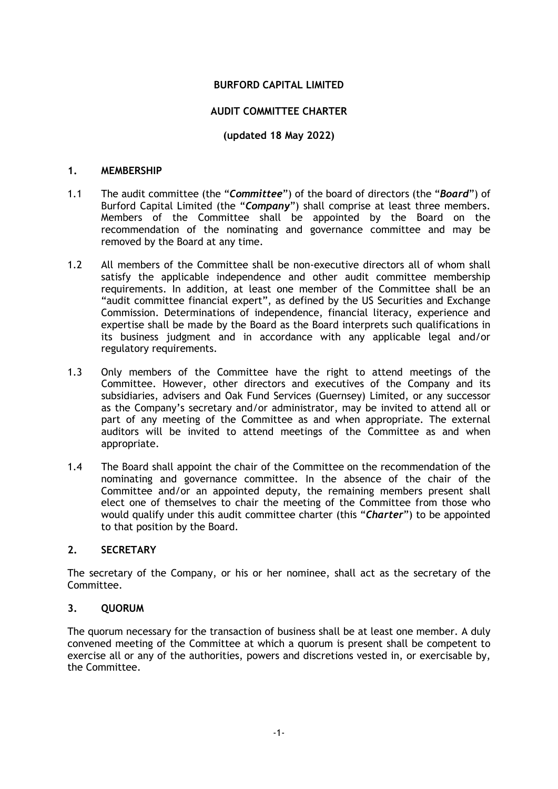# **BURFORD CAPITAL LIMITED**

# **AUDIT COMMITTEE CHARTER**

## **(updated 18 May 2022)**

#### **1. MEMBERSHIP**

- 1.1 The audit committee (the "*Committee*") of the board of directors (the "*Board*") of Burford Capital Limited (the "*Company*") shall comprise at least three members. Members of the Committee shall be appointed by the Board on the recommendation of the nominating and governance committee and may be removed by the Board at any time.
- 1.2 All members of the Committee shall be non-executive directors all of whom shall satisfy the applicable independence and other audit committee membership requirements. In addition, at least one member of the Committee shall be an "audit committee financial expert", as defined by the US Securities and Exchange Commission. Determinations of independence, financial literacy, experience and expertise shall be made by the Board as the Board interprets such qualifications in its business judgment and in accordance with any applicable legal and/or regulatory requirements.
- 1.3 Only members of the Committee have the right to attend meetings of the Committee. However, other directors and executives of the Company and its subsidiaries, advisers and Oak Fund Services (Guernsey) Limited, or any successor as the Company's secretary and/or administrator, may be invited to attend all or part of any meeting of the Committee as and when appropriate. The external auditors will be invited to attend meetings of the Committee as and when appropriate.
- 1.4 The Board shall appoint the chair of the Committee on the recommendation of the nominating and governance committee. In the absence of the chair of the Committee and/or an appointed deputy, the remaining members present shall elect one of themselves to chair the meeting of the Committee from those who would qualify under this audit committee charter (this "*Charter*") to be appointed to that position by the Board.

## **2. SECRETARY**

The secretary of the Company, or his or her nominee, shall act as the secretary of the Committee.

#### **3. QUORUM**

The quorum necessary for the transaction of business shall be at least one member. A duly convened meeting of the Committee at which a quorum is present shall be competent to exercise all or any of the authorities, powers and discretions vested in, or exercisable by, the Committee.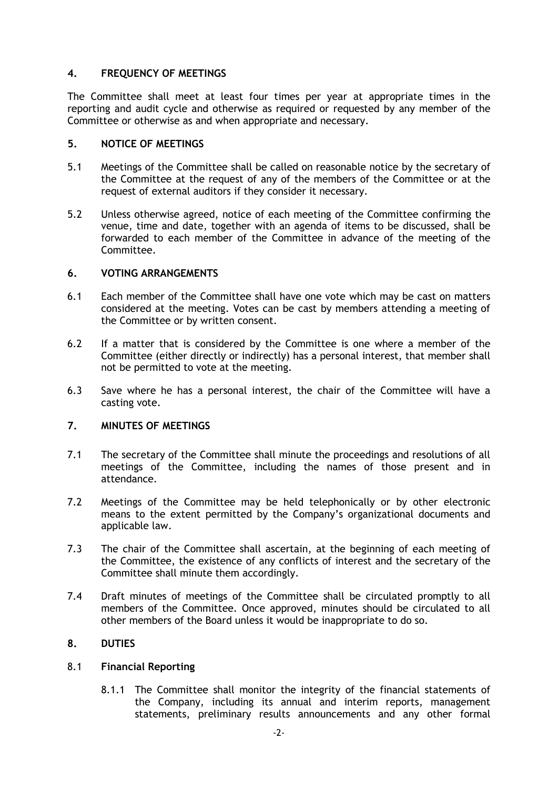# **4. FREQUENCY OF MEETINGS**

The Committee shall meet at least four times per year at appropriate times in the reporting and audit cycle and otherwise as required or requested by any member of the Committee or otherwise as and when appropriate and necessary.

## **5. NOTICE OF MEETINGS**

- 5.1 Meetings of the Committee shall be called on reasonable notice by the secretary of the Committee at the request of any of the members of the Committee or at the request of external auditors if they consider it necessary.
- 5.2 Unless otherwise agreed, notice of each meeting of the Committee confirming the venue, time and date, together with an agenda of items to be discussed, shall be forwarded to each member of the Committee in advance of the meeting of the Committee.

## **6. VOTING ARRANGEMENTS**

- 6.1 Each member of the Committee shall have one vote which may be cast on matters considered at the meeting. Votes can be cast by members attending a meeting of the Committee or by written consent.
- 6.2 If a matter that is considered by the Committee is one where a member of the Committee (either directly or indirectly) has a personal interest, that member shall not be permitted to vote at the meeting.
- 6.3 Save where he has a personal interest, the chair of the Committee will have a casting vote.

# **7. MINUTES OF MEETINGS**

- 7.1 The secretary of the Committee shall minute the proceedings and resolutions of all meetings of the Committee, including the names of those present and in attendance.
- 7.2 Meetings of the Committee may be held telephonically or by other electronic means to the extent permitted by the Company's organizational documents and applicable law.
- 7.3 The chair of the Committee shall ascertain, at the beginning of each meeting of the Committee, the existence of any conflicts of interest and the secretary of the Committee shall minute them accordingly.
- 7.4 Draft minutes of meetings of the Committee shall be circulated promptly to all members of the Committee. Once approved, minutes should be circulated to all other members of the Board unless it would be inappropriate to do so.

## **8. DUTIES**

## 8.1 **Financial Reporting**

8.1.1 The Committee shall monitor the integrity of the financial statements of the Company, including its annual and interim reports, management statements, preliminary results announcements and any other formal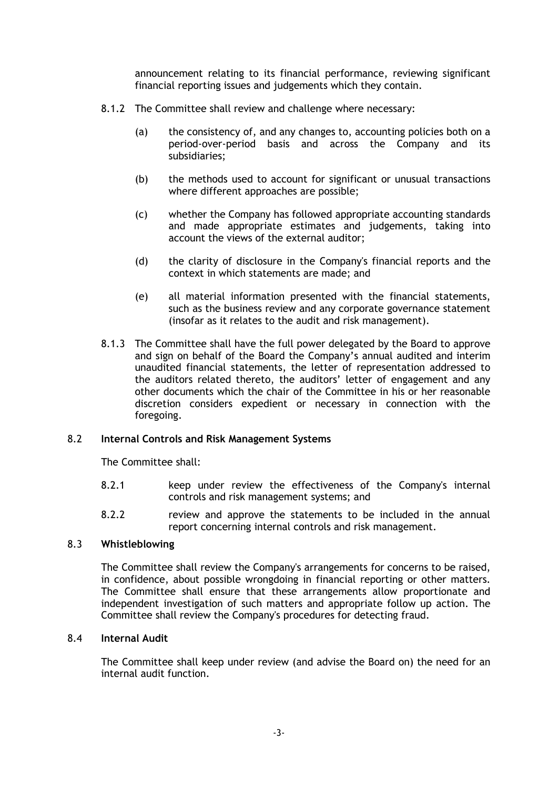announcement relating to its financial performance, reviewing significant financial reporting issues and judgements which they contain.

- 8.1.2 The Committee shall review and challenge where necessary:
	- (a) the consistency of, and any changes to, accounting policies both on a period-over-period basis and across the Company and its subsidiaries;
	- (b) the methods used to account for significant or unusual transactions where different approaches are possible;
	- (c) whether the Company has followed appropriate accounting standards and made appropriate estimates and judgements, taking into account the views of the external auditor;
	- (d) the clarity of disclosure in the Company's financial reports and the context in which statements are made; and
	- (e) all material information presented with the financial statements, such as the business review and any corporate governance statement (insofar as it relates to the audit and risk management).
- 8.1.3 The Committee shall have the full power delegated by the Board to approve and sign on behalf of the Board the Company's annual audited and interim unaudited financial statements, the letter of representation addressed to the auditors related thereto, the auditors' letter of engagement and any other documents which the chair of the Committee in his or her reasonable discretion considers expedient or necessary in connection with the foregoing.

## 8.2 **Internal Controls and Risk Management Systems**

The Committee shall:

- 8.2.1 keep under review the effectiveness of the Company's internal controls and risk management systems; and
- 8.2.2 review and approve the statements to be included in the annual report concerning internal controls and risk management.

#### 8.3 **Whistleblowing**

The Committee shall review the Company's arrangements for concerns to be raised, in confidence, about possible wrongdoing in financial reporting or other matters. The Committee shall ensure that these arrangements allow proportionate and independent investigation of such matters and appropriate follow up action. The Committee shall review the Company's procedures for detecting fraud.

#### 8.4 **Internal Audit**

The Committee shall keep under review (and advise the Board on) the need for an internal audit function.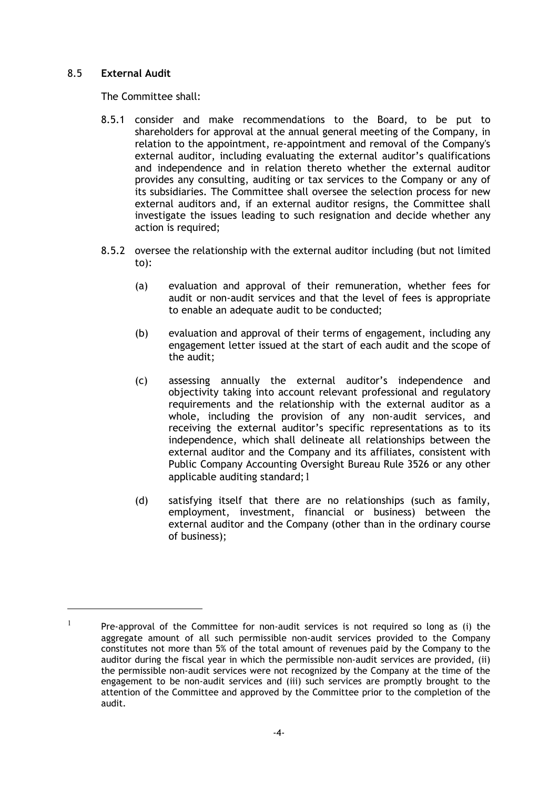#### 8.5 **External Audit**

The Committee shall:

- 8.5.1 consider and make recommendations to the Board, to be put to shareholders for approval at the annual general meeting of the Company, in relation to the appointment, re-appointment and removal of the Company's external auditor, including evaluating the external auditor's qualifications and independence and in relation thereto whether the external auditor provides any consulting, auditing or tax services to the Company or any of its subsidiaries. The Committee shall oversee the selection process for new external auditors and, if an external auditor resigns, the Committee shall investigate the issues leading to such resignation and decide whether any action is required;
- 8.5.2 oversee the relationship with the external auditor including (but not limited to):
	- (a) evaluation and approval of their remuneration, whether fees for audit or non-audit services and that the level of fees is appropriate to enable an adequate audit to be conducted;
	- (b) evaluation and approval of their terms of engagement, including any engagement letter issued at the start of each audit and the scope of the audit;
	- (c) assessing annually the external auditor's independence and objectivity taking into account relevant professional and regulatory requirements and the relationship with the external auditor as a whole, including the provision of any non-audit services, and receiving the external auditor's specific representations as to its independence, which shall delineate all relationships between the external auditor and the Company and its affiliates, consistent with Public Company Accounting Oversight Bureau Rule 3526 or any other applicable auditing standard;[1](#page-3-0)
	- (d) satisfying itself that there are no relationships (such as family, employment, investment, financial or business) between the external auditor and the Company (other than in the ordinary course of business);

<span id="page-3-0"></span><sup>&</sup>lt;sup>1</sup> Pre-approval of the Committee for non-audit services is not required so long as (i) the aggregate amount of all such permissible non-audit services provided to the Company constitutes not more than 5% of the total amount of revenues paid by the Company to the auditor during the fiscal year in which the permissible non-audit services are provided, (ii) the permissible non-audit services were not recognized by the Company at the time of the engagement to be non-audit services and (iii) such services are promptly brought to the attention of the Committee and approved by the Committee prior to the completion of the audit.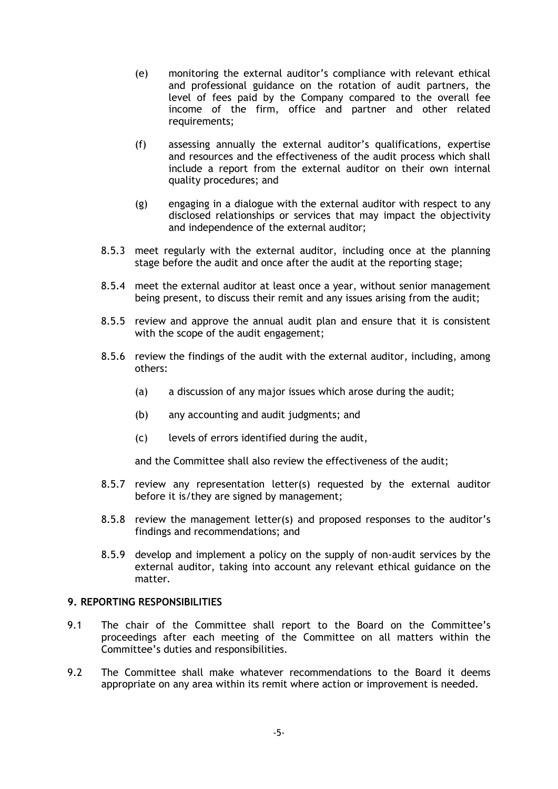- (e) monitoring the external auditor's compliance with relevant ethical and professional guidance on the rotation of audit partners, the level of fees paid by the Company compared to the overall fee income of the firm, office and partner and other related requirements;
- (f) assessing annually the external auditor's qualifications, expertise and resources and the effectiveness of the audit process which shall include a report from the external auditor on their own internal quality procedures; and
- (g) engaging in a dialogue with the external auditor with respect to any disclosed relationships or services that may impact the objectivity and independence of the external auditor;
- 8.5.3 meet regularly with the external auditor, including once at the planning stage before the audit and once after the audit at the reporting stage;
- 8.5.4 meet the external auditor at least once a year, without senior management being present, to discuss their remit and any issues arising from the audit;
- 8.5.5 review and approve the annual audit plan and ensure that it is consistent with the scope of the audit engagement;
- 8.5.6 review the findings of the audit with the external auditor, including, among others:
	- (a) a discussion of any major issues which arose during the audit;
	- (b) any accounting and audit judgments; and
	- (c) levels of errors identified during the audit,

and the Committee shall also review the effectiveness of the audit;

- 8.5.7 review any representation letter(s) requested by the external auditor before it is/they are signed by management;
- 8.5.8 review the management letter(s) and proposed responses to the auditor's findings and recommendations; and
- 8.5.9 develop and implement a policy on the supply of non-audit services by the external auditor, taking into account any relevant ethical guidance on the matter.

#### **9. REPORTING RESPONSIBILITIES**

- 9.1 The chair of the Committee shall report to the Board on the Committee's proceedings after each meeting of the Committee on all matters within the Committee's duties and responsibilities.
- 9.2 The Committee shall make whatever recommendations to the Board it deems appropriate on any area within its remit where action or improvement is needed.